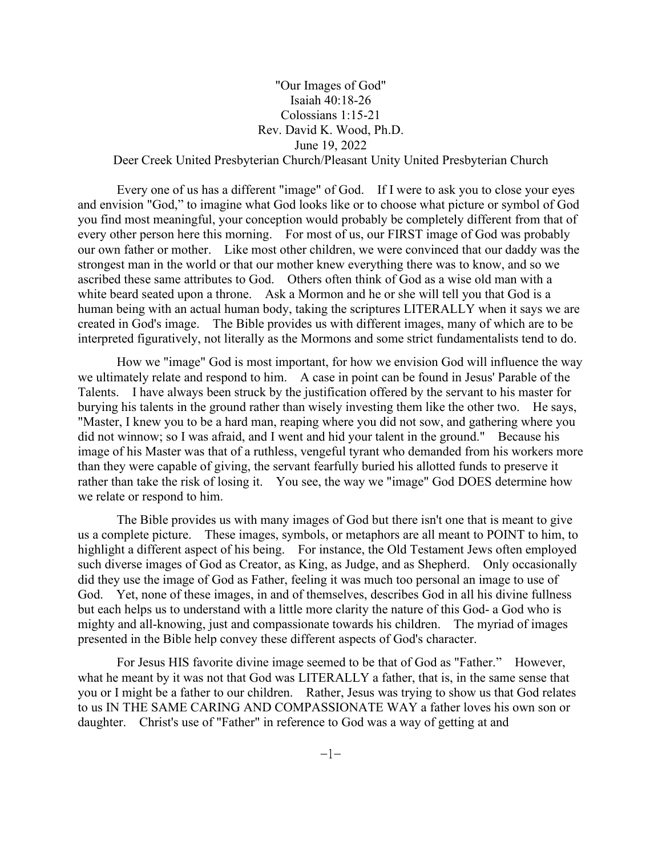## "Our Images of God" Isaiah 40:18-26 Colossians 1:15-21 Rev. David K. Wood, Ph.D. June 19, 2022

## Deer Creek United Presbyterian Church/Pleasant Unity United Presbyterian Church

Every one of us has a different "image" of God. If I were to ask you to close your eyes and envision "God," to imagine what God looks like or to choose what picture or symbol of God you find most meaningful, your conception would probably be completely different from that of every other person here this morning. For most of us, our FIRST image of God was probably our own father or mother. Like most other children, we were convinced that our daddy was the strongest man in the world or that our mother knew everything there was to know, and so we ascribed these same attributes to God. Others often think of God as a wise old man with a white beard seated upon a throne. Ask a Mormon and he or she will tell you that God is a human being with an actual human body, taking the scriptures LITERALLY when it says we are created in God's image. The Bible provides us with different images, many of which are to be interpreted figuratively, not literally as the Mormons and some strict fundamentalists tend to do.

How we "image" God is most important, for how we envision God will influence the way we ultimately relate and respond to him. A case in point can be found in Jesus' Parable of the Talents. I have always been struck by the justification offered by the servant to his master for burying his talents in the ground rather than wisely investing them like the other two. He says, "Master, I knew you to be a hard man, reaping where you did not sow, and gathering where you did not winnow; so I was afraid, and I went and hid your talent in the ground." Because his image of his Master was that of a ruthless, vengeful tyrant who demanded from his workers more than they were capable of giving, the servant fearfully buried his allotted funds to preserve it rather than take the risk of losing it. You see, the way we "image" God DOES determine how we relate or respond to him.

The Bible provides us with many images of God but there isn't one that is meant to give us a complete picture. These images, symbols, or metaphors are all meant to POINT to him, to highlight a different aspect of his being. For instance, the Old Testament Jews often employed such diverse images of God as Creator, as King, as Judge, and as Shepherd. Only occasionally did they use the image of God as Father, feeling it was much too personal an image to use of God. Yet, none of these images, in and of themselves, describes God in all his divine fullness but each helps us to understand with a little more clarity the nature of this God- a God who is mighty and all-knowing, just and compassionate towards his children. The myriad of images presented in the Bible help convey these different aspects of God's character.

For Jesus HIS favorite divine image seemed to be that of God as "Father." However, what he meant by it was not that God was LITERALLY a father, that is, in the same sense that you or I might be a father to our children. Rather, Jesus was trying to show us that God relates to us IN THE SAME CARING AND COMPASSIONATE WAY a father loves his own son or daughter. Christ's use of "Father" in reference to God was a way of getting at and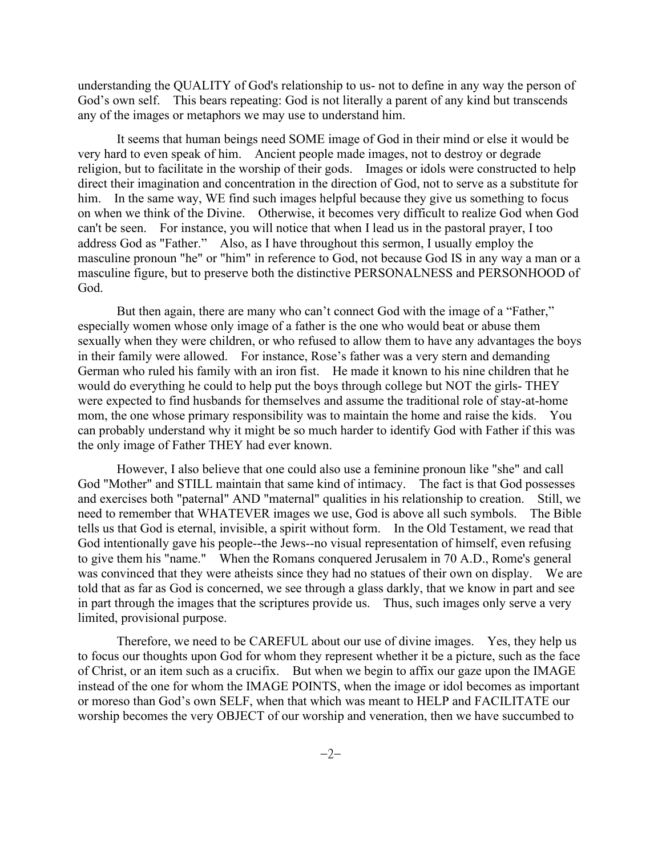understanding the QUALITY of God's relationship to us- not to define in any way the person of God's own self. This bears repeating: God is not literally a parent of any kind but transcends any of the images or metaphors we may use to understand him.

It seems that human beings need SOME image of God in their mind or else it would be very hard to even speak of him. Ancient people made images, not to destroy or degrade religion, but to facilitate in the worship of their gods. Images or idols were constructed to help direct their imagination and concentration in the direction of God, not to serve as a substitute for him. In the same way, WE find such images helpful because they give us something to focus on when we think of the Divine. Otherwise, it becomes very difficult to realize God when God can't be seen. For instance, you will notice that when I lead us in the pastoral prayer, I too address God as "Father." Also, as I have throughout this sermon, I usually employ the masculine pronoun "he" or "him" in reference to God, not because God IS in any way a man or a masculine figure, but to preserve both the distinctive PERSONALNESS and PERSONHOOD of God.

But then again, there are many who can't connect God with the image of a "Father," especially women whose only image of a father is the one who would beat or abuse them sexually when they were children, or who refused to allow them to have any advantages the boys in their family were allowed. For instance, Rose's father was a very stern and demanding German who ruled his family with an iron fist. He made it known to his nine children that he would do everything he could to help put the boys through college but NOT the girls- THEY were expected to find husbands for themselves and assume the traditional role of stay-at-home mom, the one whose primary responsibility was to maintain the home and raise the kids. You can probably understand why it might be so much harder to identify God with Father if this was the only image of Father THEY had ever known.

However, I also believe that one could also use a feminine pronoun like "she" and call God "Mother" and STILL maintain that same kind of intimacy. The fact is that God possesses and exercises both "paternal" AND "maternal" qualities in his relationship to creation. Still, we need to remember that WHATEVER images we use, God is above all such symbols. The Bible tells us that God is eternal, invisible, a spirit without form. In the Old Testament, we read that God intentionally gave his people--the Jews--no visual representation of himself, even refusing to give them his "name." When the Romans conquered Jerusalem in 70 A.D., Rome's general was convinced that they were atheists since they had no statues of their own on display. We are told that as far as God is concerned, we see through a glass darkly, that we know in part and see in part through the images that the scriptures provide us. Thus, such images only serve a very limited, provisional purpose.

Therefore, we need to be CAREFUL about our use of divine images. Yes, they help us to focus our thoughts upon God for whom they represent whether it be a picture, such as the face of Christ, or an item such as a crucifix. But when we begin to affix our gaze upon the IMAGE instead of the one for whom the IMAGE POINTS, when the image or idol becomes as important or moreso than God's own SELF, when that which was meant to HELP and FACILITATE our worship becomes the very OBJECT of our worship and veneration, then we have succumbed to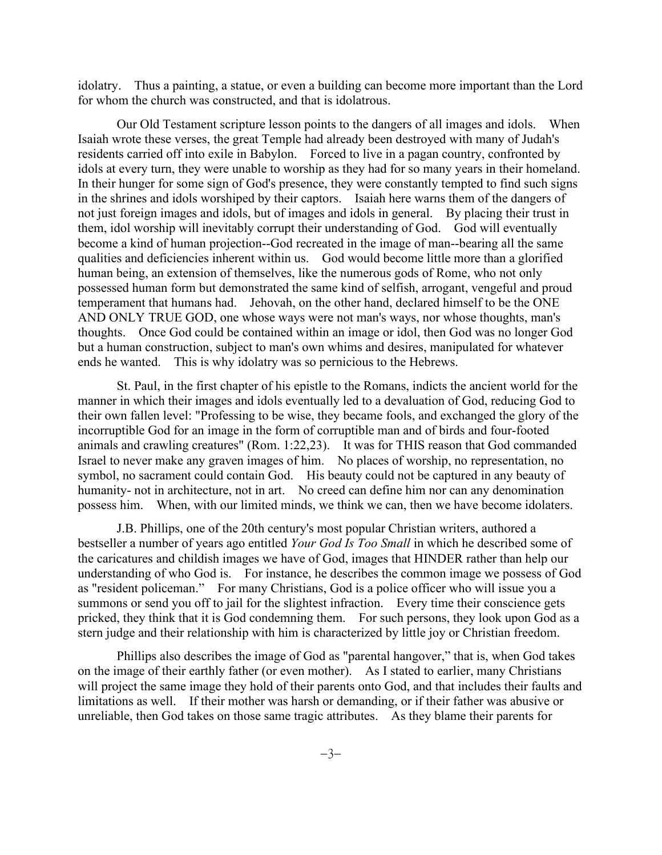idolatry. Thus a painting, a statue, or even a building can become more important than the Lord for whom the church was constructed, and that is idolatrous.

Our Old Testament scripture lesson points to the dangers of all images and idols. When Isaiah wrote these verses, the great Temple had already been destroyed with many of Judah's residents carried off into exile in Babylon. Forced to live in a pagan country, confronted by idols at every turn, they were unable to worship as they had for so many years in their homeland. In their hunger for some sign of God's presence, they were constantly tempted to find such signs in the shrines and idols worshiped by their captors. Isaiah here warns them of the dangers of not just foreign images and idols, but of images and idols in general. By placing their trust in them, idol worship will inevitably corrupt their understanding of God. God will eventually become a kind of human projection--God recreated in the image of man--bearing all the same qualities and deficiencies inherent within us. God would become little more than a glorified human being, an extension of themselves, like the numerous gods of Rome, who not only possessed human form but demonstrated the same kind of selfish, arrogant, vengeful and proud temperament that humans had. Jehovah, on the other hand, declared himself to be the ONE AND ONLY TRUE GOD, one whose ways were not man's ways, nor whose thoughts, man's thoughts. Once God could be contained within an image or idol, then God was no longer God but a human construction, subject to man's own whims and desires, manipulated for whatever ends he wanted. This is why idolatry was so pernicious to the Hebrews.

St. Paul, in the first chapter of his epistle to the Romans, indicts the ancient world for the manner in which their images and idols eventually led to a devaluation of God, reducing God to their own fallen level: "Professing to be wise, they became fools, and exchanged the glory of the incorruptible God for an image in the form of corruptible man and of birds and four-footed animals and crawling creatures" (Rom. 1:22,23). It was for THIS reason that God commanded Israel to never make any graven images of him. No places of worship, no representation, no symbol, no sacrament could contain God. His beauty could not be captured in any beauty of humanity- not in architecture, not in art. No creed can define him nor can any denomination possess him. When, with our limited minds, we think we can, then we have become idolaters.

J.B. Phillips, one of the 20th century's most popular Christian writers, authored a bestseller a number of years ago entitled *Your God Is Too Small* in which he described some of the caricatures and childish images we have of God, images that HINDER rather than help our understanding of who God is. For instance, he describes the common image we possess of God as "resident policeman." For many Christians, God is a police officer who will issue you a summons or send you off to jail for the slightest infraction. Every time their conscience gets pricked, they think that it is God condemning them. For such persons, they look upon God as a stern judge and their relationship with him is characterized by little joy or Christian freedom.

Phillips also describes the image of God as "parental hangover," that is, when God takes on the image of their earthly father (or even mother). As I stated to earlier, many Christians will project the same image they hold of their parents onto God, and that includes their faults and limitations as well. If their mother was harsh or demanding, or if their father was abusive or unreliable, then God takes on those same tragic attributes. As they blame their parents for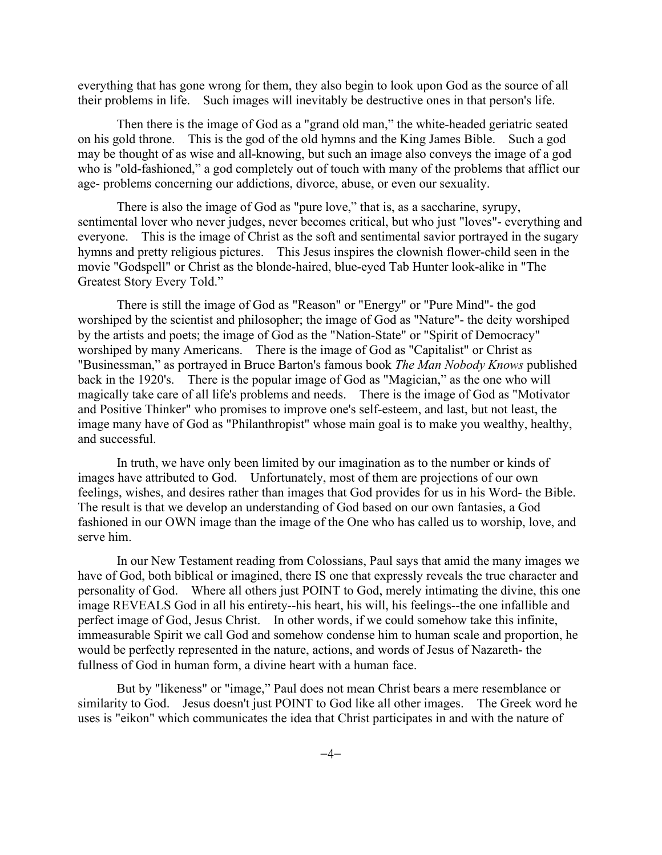everything that has gone wrong for them, they also begin to look upon God as the source of all their problems in life. Such images will inevitably be destructive ones in that person's life.

Then there is the image of God as a "grand old man," the white-headed geriatric seated on his gold throne. This is the god of the old hymns and the King James Bible. Such a god may be thought of as wise and all-knowing, but such an image also conveys the image of a god who is "old-fashioned," a god completely out of touch with many of the problems that afflict our age- problems concerning our addictions, divorce, abuse, or even our sexuality.

There is also the image of God as "pure love," that is, as a saccharine, syrupy, sentimental lover who never judges, never becomes critical, but who just "loves"- everything and everyone. This is the image of Christ as the soft and sentimental savior portrayed in the sugary hymns and pretty religious pictures. This Jesus inspires the clownish flower-child seen in the movie "Godspell" or Christ as the blonde-haired, blue-eyed Tab Hunter look-alike in "The Greatest Story Every Told."

There is still the image of God as "Reason" or "Energy" or "Pure Mind"- the god worshiped by the scientist and philosopher; the image of God as "Nature"- the deity worshiped by the artists and poets; the image of God as the "Nation-State" or "Spirit of Democracy" worshiped by many Americans. There is the image of God as "Capitalist" or Christ as "Businessman," as portrayed in Bruce Barton's famous book *The Man Nobody Knows* published back in the 1920's. There is the popular image of God as "Magician," as the one who will magically take care of all life's problems and needs. There is the image of God as "Motivator and Positive Thinker" who promises to improve one's self-esteem, and last, but not least, the image many have of God as "Philanthropist" whose main goal is to make you wealthy, healthy, and successful.

In truth, we have only been limited by our imagination as to the number or kinds of images have attributed to God. Unfortunately, most of them are projections of our own feelings, wishes, and desires rather than images that God provides for us in his Word- the Bible. The result is that we develop an understanding of God based on our own fantasies, a God fashioned in our OWN image than the image of the One who has called us to worship, love, and serve him.

In our New Testament reading from Colossians, Paul says that amid the many images we have of God, both biblical or imagined, there IS one that expressly reveals the true character and personality of God. Where all others just POINT to God, merely intimating the divine, this one image REVEALS God in all his entirety--his heart, his will, his feelings--the one infallible and perfect image of God, Jesus Christ. In other words, if we could somehow take this infinite, immeasurable Spirit we call God and somehow condense him to human scale and proportion, he would be perfectly represented in the nature, actions, and words of Jesus of Nazareth- the fullness of God in human form, a divine heart with a human face.

But by "likeness" or "image," Paul does not mean Christ bears a mere resemblance or similarity to God. Jesus doesn't just POINT to God like all other images. The Greek word he uses is "eikon" which communicates the idea that Christ participates in and with the nature of